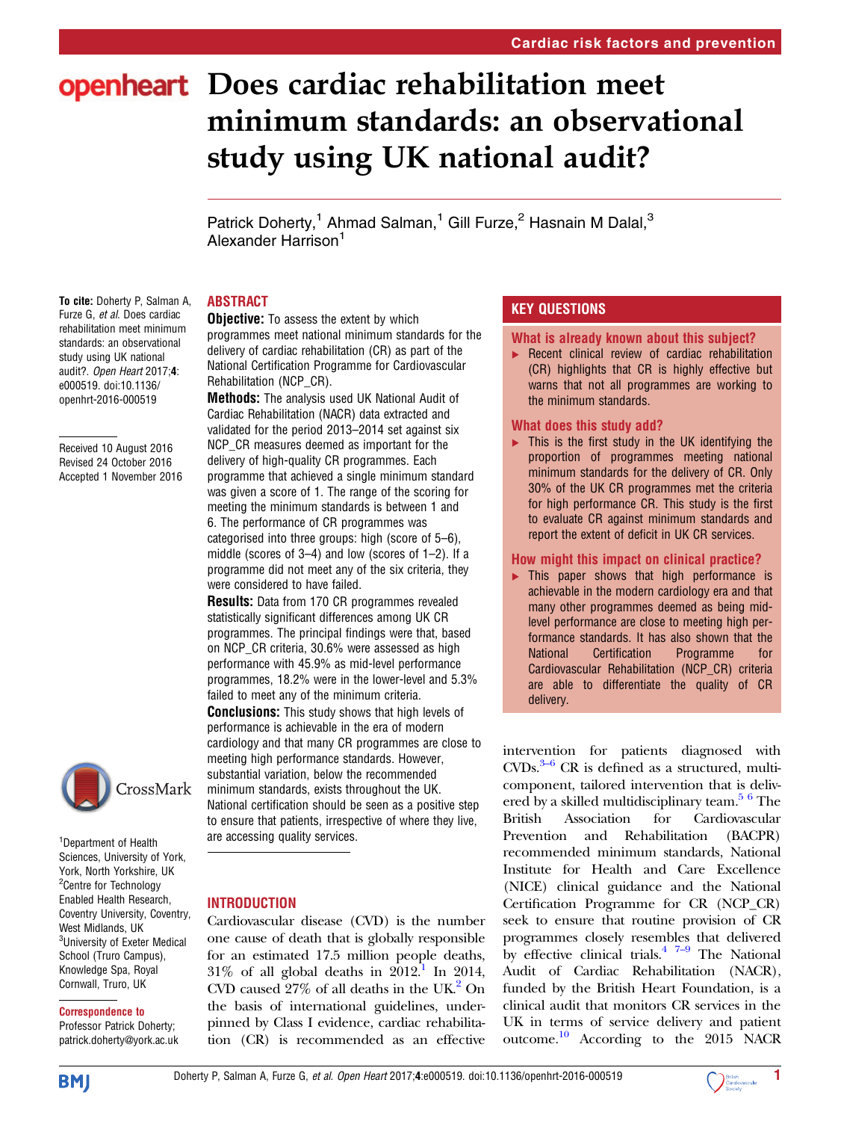# openheart Does cardiac rehabilitation meet minimum standards: an observational study using UK national audit?

Patrick Doherty,<sup>1</sup> Ahmad Salman,<sup>1</sup> Gill Furze,<sup>2</sup> Hasnain M Dalal,<sup>3</sup> Alexander Harrison<sup>1</sup>

# ABSTRACT

To cite: Doherty P, Salman A, Furze G, et al. Does cardiac rehabilitation meet minimum standards: an observational study using UK national audit?. Open Heart 2017;4: e000519. doi:10.1136/ openhrt-2016-000519

Received 10 August 2016 Revised 24 October 2016 Accepted 1 November 2016



1 Department of Health Sciences, University of York, York, North Yorkshire, UK <sup>2</sup>Centre for Technology Enabled Health Research, Coventry University, Coventry, West Midlands, UK <sup>3</sup>University of Exeter Medical School (Truro Campus), Knowledge Spa, Royal Cornwall, Truro, UK

# Correspondence to

Professor Patrick Doherty; patrick.doherty@york.ac.uk

## **Objective:** To assess the extent by which programmes meet national minimum standards for the delivery of cardiac rehabilitation (CR) as part of the National Certification Programme for Cardiovascular Rehabilitation (NCP\_CR).

Methods: The analysis used UK National Audit of Cardiac Rehabilitation (NACR) data extracted and validated for the period 2013–2014 set against six NCP\_CR measures deemed as important for the delivery of high-quality CR programmes. Each programme that achieved a single minimum standard was given a score of 1. The range of the scoring for meeting the minimum standards is between 1 and 6. The performance of CR programmes was categorised into three groups: high (score of 5–6), middle (scores of 3–4) and low (scores of 1–2). If a programme did not meet any of the six criteria, they were considered to have failed.

Results: Data from 170 CR programmes revealed statistically significant differences among UK CR programmes. The principal findings were that, based on NCP\_CR criteria, 30.6% were assessed as high performance with 45.9% as mid-level performance programmes, 18.2% were in the lower-level and 5.3% failed to meet any of the minimum criteria.

**Conclusions:** This study shows that high levels of performance is achievable in the era of modern cardiology and that many CR programmes are close to meeting high performance standards. However, substantial variation, below the recommended minimum standards, exists throughout the UK. National certification should be seen as a positive step to ensure that patients, irrespective of where they live, are accessing quality services.

# **INTRODUCTION**

Cardiovascular disease (CVD) is the number one cause of death that is globally responsible for an estimated 17.5 million people deaths,  $31\%$  of all global deaths in  $2012$ .<sup>1</sup> In 2014, CVD caused  $27\%$  of all deaths in the UK.<sup>2</sup> On the basis of international guidelines, underpinned by Class I evidence, cardiac rehabilitation (CR) is recommended as an effective

# KEY QUESTIONS

# What is already known about this subject?

▸ Recent clinical review of cardiac rehabilitation (CR) highlights that CR is highly effective but warns that not all programmes are working to the minimum standards.

# What does this study add?

 $\blacktriangleright$  This is the first study in the UK identifying the proportion of programmes meeting national minimum standards for the delivery of CR. Only 30% of the UK CR programmes met the criteria for high performance CR. This study is the first to evaluate CR against minimum standards and report the extent of deficit in UK CR services.

# How might this impact on clinical practice?

▸ This paper shows that high performance is achievable in the modern cardiology era and that many other programmes deemed as being midlevel performance are close to meeting high performance standards. It has also shown that the National Certification Programme for Cardiovascular Rehabilitation (NCP\_CR) criteria are able to differentiate the quality of CR delivery.

interv[ent](#page-4-0)ion for patients diagnosed with  $CVDs.<sup>3–6</sup> CR is defined as a structured, multi$ component, tailored intervention that is delivered by a skilled multidisciplinary team.<sup>5 6</sup> The British Association for Cardiovascular Prevention and Rehabilitation (BACPR) recommended minimum standards, National Institute for Health and Care Excellence (NICE) clinical guidance and the National Certification Programme for CR (NCP\_CR) seek to ensure that routine provision of CR programmes closely resemb[les](#page-4-0) that delivered by effective clinical trials. $4^{7-9}$  $4^{7-9}$  The National Audit of Cardiac Rehabilitation (NACR), funded by the British Heart Foundation, is a clinical audit that monitors CR services in the UK in terms of service delivery and patient outcome.<sup>[10](#page-4-0)</sup> According to the 2015 NACR

**BMJ** 

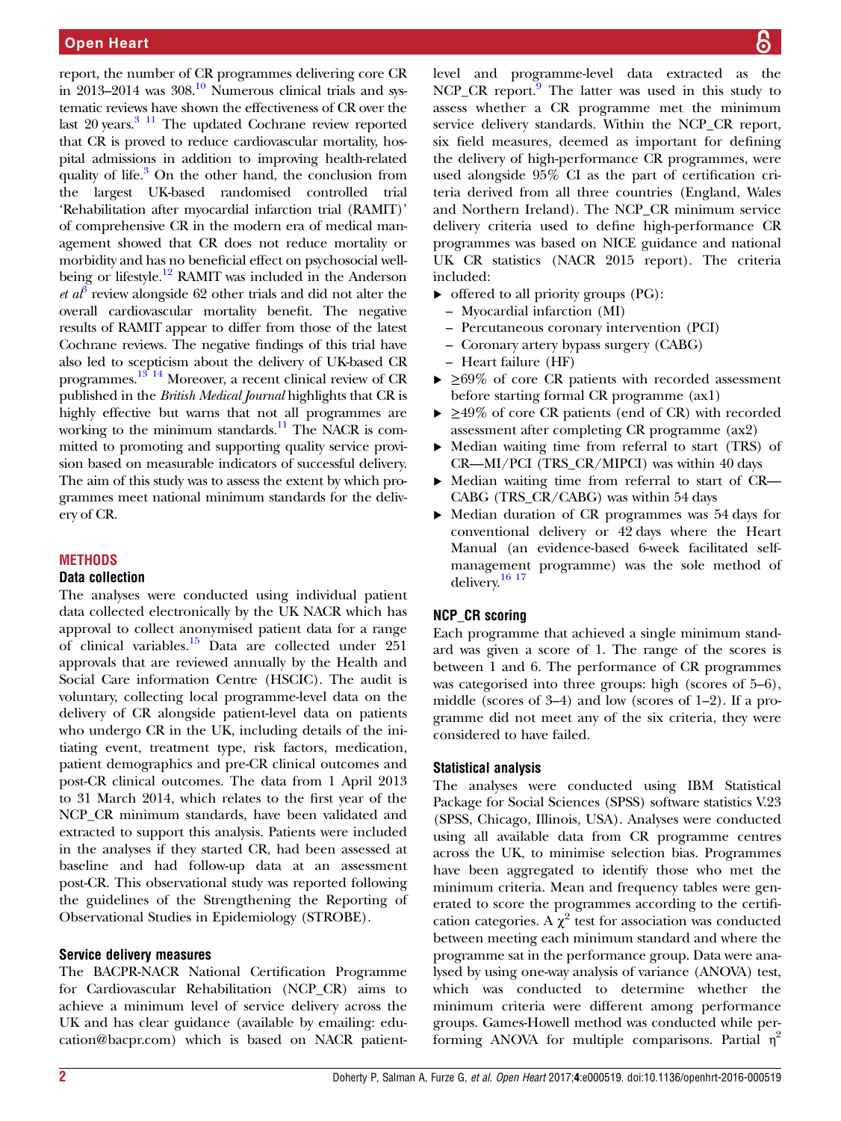report, the number of CR programmes delivering core CR in 2013–2014 was  $308<sup>10</sup>$  Numerous clinical trials and systematic reviews have shown the effectiveness of CR over the last  $20$  years.<sup>3 11</sup> The updated Cochrane review reported that CR is proved to reduce cardiovascular mortality, hospital admissions in addition to improving health-related quality of life.<sup>3</sup> On the other hand, the conclusion from the largest UK-based randomised controlled trial 'Rehabilitation after myocardial infarction trial (RAMIT)' of comprehensive CR in the modern era of medical management showed that CR does not reduce mortality or morbidity and has no beneficial effect on psychosocial well-being or lifestyle.<sup>[12](#page-4-0)</sup> RAMIT was included in the Anderson *et a*<sup> $\theta$ </sup> review alongside 62 other trials and did not alter the overall cardiovascular mortality benefit. The negative results of RAMIT appear to differ from those of the latest Cochrane reviews. The negative findings of this trial have also led to scepticism about the delivery of UK-based CR programmes.<sup>[13 14](#page-4-0)</sup> Moreover, a recent clinical review of CR published in the British Medical Journal highlights that CR is highly effective but warns that not all programmes are working to the minimum standards.<sup>11</sup> The NACR is committed to promoting and supporting quality service provision based on measurable indicators of successful delivery. The aim of this study was to assess the extent by which programmes meet national minimum standards for the delivery of CR.

## **METHODS**

#### Data collection

The analyses were conducted using individual patient data collected electronically by the UK NACR which has approval to collect anonymised patient data for a range of clinical variables.<sup>[15](#page-4-0)</sup> Data are collected under  $251$ approvals that are reviewed annually by the Health and Social Care information Centre (HSCIC). The audit is voluntary, collecting local programme-level data on the delivery of CR alongside patient-level data on patients who undergo CR in the UK, including details of the initiating event, treatment type, risk factors, medication, patient demographics and pre-CR clinical outcomes and post-CR clinical outcomes. The data from 1 April 2013 to 31 March 2014, which relates to the first year of the NCP\_CR minimum standards, have been validated and extracted to support this analysis. Patients were included in the analyses if they started CR, had been assessed at baseline and had follow-up data at an assessment post-CR. This observational study was reported following the guidelines of the Strengthening the Reporting of Observational Studies in Epidemiology (STROBE).

# Service delivery measures

The BACPR-NACR National Certification Programme for Cardiovascular Rehabilitation (NCP\_CR) aims to achieve a minimum level of service delivery across the UK and has clear guidance (available by emailing: education@bacpr.com) which is based on NACR patientlevel and programme-level data extracted as the  $NCP_C$ CR report.<sup>[9](#page-4-0)</sup> The latter was used in this study to assess whether a CR programme met the minimum service delivery standards. Within the NCP\_CR report, six field measures, deemed as important for defining the delivery of high-performance CR programmes, were used alongside 95% CI as the part of certification criteria derived from all three countries (England, Wales and Northern Ireland). The NCP\_CR minimum service delivery criteria used to define high-performance CR programmes was based on NICE guidance and national UK CR statistics (NACR 2015 report). The criteria included:

- ▸ offered to all priority groups (PG):
	- Myocardial infarction (MI)
	- Percutaneous coronary intervention (PCI)
	- Coronary artery bypass surgery (CABG)
	- Heart failure (HF)
- $\triangleright$   $\geq$ 69% of core CR patients with recorded assessment before starting formal CR programme (ax1)
- ▸ ≥49% of core CR patients (end of CR) with recorded assessment after completing CR programme (ax2)
- ▸ Median waiting time from referral to start (TRS) of CR—MI/PCI (TRS\_CR/MIPCI) was within 40 days
- ▸ Median waiting time from referral to start of CR— CABG (TRS\_CR/CABG) was within 54 days
- ▸ Median duration of CR programmes was 54 days for conventional delivery or 42 days where the Heart Manual (an evidence-based 6-week facilitated selfmanagement programme) was the sole method of delivery.<sup>16</sup><sup>17</sup>

# NCP\_CR scoring

Each programme that achieved a single minimum standard was given a score of 1. The range of the scores is between 1 and 6. The performance of CR programmes was categorised into three groups: high (scores of 5–6), middle (scores of 3–4) and low (scores of 1–2). If a programme did not meet any of the six criteria, they were considered to have failed.

# Statistical analysis

The analyses were conducted using IBM Statistical Package for Social Sciences (SPSS) software statistics V.23 (SPSS, Chicago, Illinois, USA). Analyses were conducted using all available data from CR programme centres across the UK, to minimise selection bias. Programmes have been aggregated to identify those who met the minimum criteria. Mean and frequency tables were generated to score the programmes according to the certification categories. A  $\chi^2$  test for association was conducted between meeting each minimum standard and where the programme sat in the performance group. Data were analysed by using one-way analysis of variance (ANOVA) test, which was conducted to determine whether the minimum criteria were different among performance groups. Games-Howell method was conducted while performing ANOVA for multiple comparisons. Partial  $\eta^2$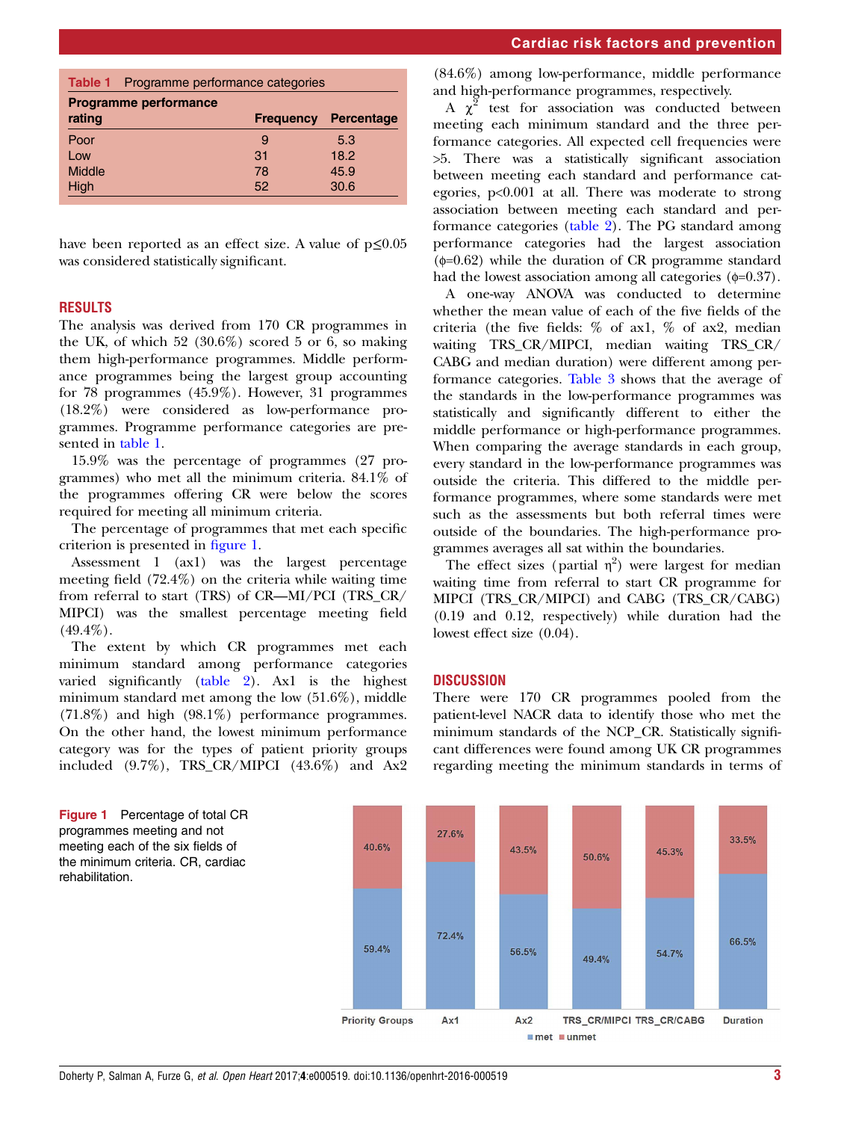|                              | <b>Table 1</b> Programme performance categories |    |                             |  |  |  |  |
|------------------------------|-------------------------------------------------|----|-----------------------------|--|--|--|--|
| <b>Programme performance</b> |                                                 |    |                             |  |  |  |  |
| rating                       |                                                 |    | <b>Frequency Percentage</b> |  |  |  |  |
| Poor                         |                                                 | 9  | 5.3                         |  |  |  |  |
| Low                          |                                                 | 31 | 18.2                        |  |  |  |  |
| Middle                       |                                                 | 78 | 45.9                        |  |  |  |  |
| High                         |                                                 | 52 | 30.6                        |  |  |  |  |

have been reported as an effect size. A value of  $p \leq 0.05$ was considered statistically significant.

## **RESULTS**

The analysis was derived from 170 CR programmes in the UK, of which  $52$   $(30.6\%)$  scored 5 or 6, so making them high-performance programmes. Middle performance programmes being the largest group accounting for 78 programmes (45.9%). However, 31 programmes (18.2%) were considered as low-performance programmes. Programme performance categories are presented in table 1.

15.9% was the percentage of programmes (27 programmes) who met all the minimum criteria. 84.1% of the programmes offering CR were below the scores required for meeting all minimum criteria.

The percentage of programmes that met each specific criterion is presented in figure 1.

Assessment 1 (ax1) was the largest percentage meeting field (72.4%) on the criteria while waiting time from referral to start (TRS) of CR—MI/PCI (TRS\_CR/ MIPCI) was the smallest percentage meeting field  $(49.4\%)$ .

The extent by which CR programmes met each minimum standard among performance categories varied significantly ([table 2](#page-3-0)). Ax1 is the highest minimum standard met among the low (51.6%), middle (71.8%) and high (98.1%) performance programmes. On the other hand, the lowest minimum performance category was for the types of patient priority groups included  $(9.7\%)$ , TRS\_CR/MIPCI  $(43.6\%)$  and Ax2

(84.6%) among low-performance, middle performance and high-performance programmes, respectively.

A  $\chi^2$  test for association was conducted between meeting each minimum standard and the three performance categories. All expected cell frequencies were >5. There was a statistically significant association between meeting each standard and performance categories, p<0.001 at all. There was moderate to strong association between meeting each standard and performance categories [\(table 2](#page-3-0)). The PG standard among performance categories had the largest association  $(\phi=0.62)$  while the duration of CR programme standard had the lowest association among all categories  $(\phi=0.37)$ .

A one-way ANOVA was conducted to determine whether the mean value of each of the five fields of the criteria (the five fields: % of ax1, % of ax2, median waiting TRS\_CR/MIPCI, median waiting TRS\_CR/ CABG and median duration) were different among performance categories. [Table 3](#page-3-0) shows that the average of the standards in the low-performance programmes was statistically and significantly different to either the middle performance or high-performance programmes. When comparing the average standards in each group, every standard in the low-performance programmes was outside the criteria. This differed to the middle performance programmes, where some standards were met such as the assessments but both referral times were outside of the boundaries. The high-performance programmes averages all sat within the boundaries.

The effect sizes (partial  $\eta^2$ ) were largest for median waiting time from referral to start CR programme for MIPCI (TRS\_CR/MIPCI) and CABG (TRS\_CR/CABG) (0.19 and 0.12, respectively) while duration had the lowest effect size (0.04).

#### DISCUSSION

There were 170 CR programmes pooled from the patient-level NACR data to identify those who met the minimum standards of the NCP\_CR. Statistically significant differences were found among UK CR programmes regarding meeting the minimum standards in terms of



Figure 1 Percentage of total CR programmes meeting and not meeting each of the six fields of the minimum criteria. CR, cardiac rehabilitation.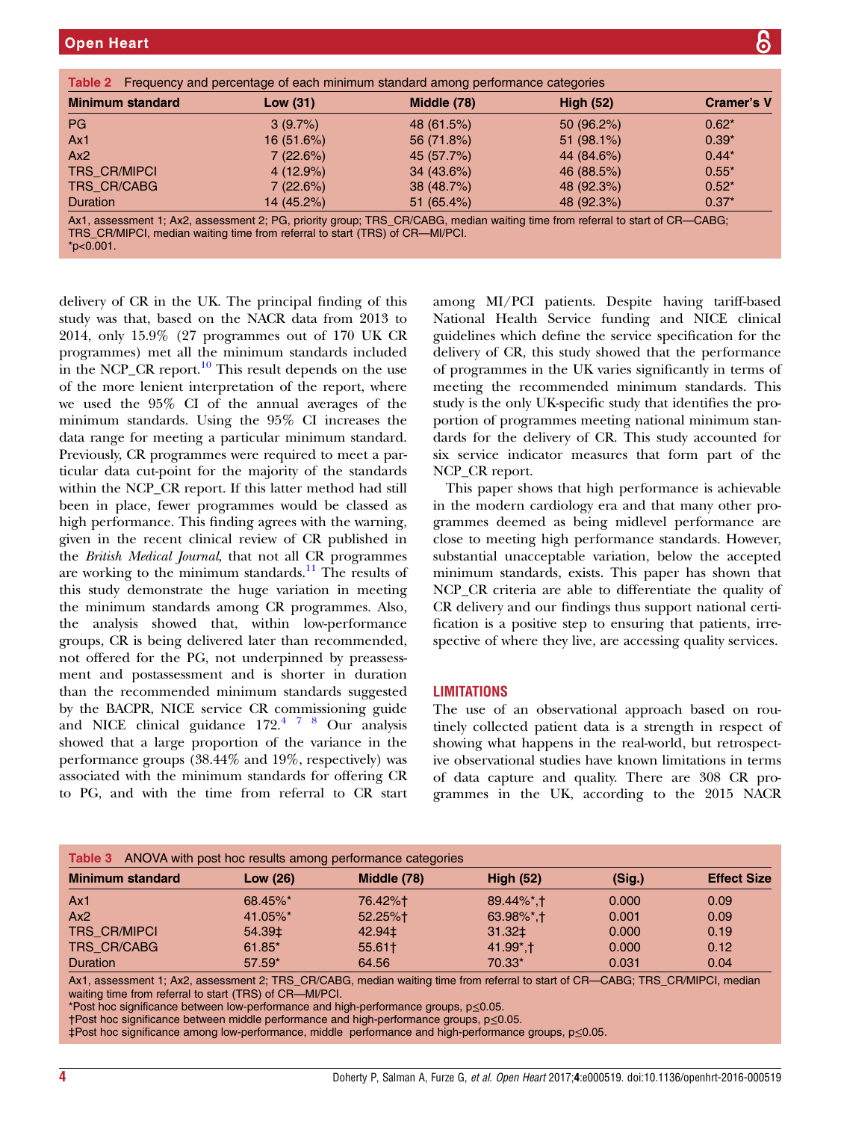<span id="page-3-0"></span>

| <b>Minimum standard</b> | Low $(31)$  | Middle (78)   | <b>High (52)</b> | <b>Cramer's V</b> |
|-------------------------|-------------|---------------|------------------|-------------------|
| <b>PG</b>               | 3(9.7%)     | 48 (61.5%)    | 50(96.2%)        | $0.62*$           |
| Ax1                     | 16(51.6%)   | 56 (71.8%)    | 51(98.1%)        | $0.39*$           |
| Ax2                     | 7(22.6%)    | 45 (57.7%)    | 44 (84.6%)       | $0.44*$           |
| TRS_CR/MIPCI            | $4(12.9\%)$ | 34(43.6%)     | 46 (88.5%)       | $0.55*$           |
| TRS_CR/CABG             | 7(22.6%)    | 38 (48.7%)    | 48 (92.3%)       | $0.52*$           |
| <b>Duration</b>         | 14 (45.2%)  | 51 $(65.4\%)$ | 48 (92.3%)       | $0.37*$           |

TRS\_CR/MIPCI, median waiting time from referral to start (TRS) of CR—MI/PCI.

delivery of CR in the UK. The principal finding of this study was that, based on the NACR data from 2013 to 2014, only 15.9% (27 programmes out of 170 UK CR programmes) met all the minimum standards included in the NCP CR report.<sup>[10](#page-4-0)</sup> This result depends on the use of the more lenient interpretation of the report, where we used the 95% CI of the annual averages of the minimum standards. Using the 95% CI increases the data range for meeting a particular minimum standard. Previously, CR programmes were required to meet a particular data cut-point for the majority of the standards within the NCP\_CR report. If this latter method had still been in place, fewer programmes would be classed as high performance. This finding agrees with the warning, given in the recent clinical review of CR published in the British Medical Journal, that not all CR programmes are working to the minimum standards. $11$  The results of this study demonstrate the huge variation in meeting the minimum standards among CR programmes. Also, the analysis showed that, within low-performance groups, CR is being delivered later than recommended, not offered for the PG, not underpinned by preassessment and postassessment and is shorter in duration than the recommended minimum standards suggested by the BACPR, NICE service CR commissioning guide and NICE clinical guidance  $172<sup>47</sup>8$  Our analysis showed that a large proportion of the variance in the performance groups (38.44% and 19%, respectively) was associated with the minimum standards for offering CR to PG, and with the time from referral to CR start

among MI/PCI patients. Despite having tariff-based National Health Service funding and NICE clinical guidelines which define the service specification for the delivery of CR, this study showed that the performance of programmes in the UK varies significantly in terms of meeting the recommended minimum standards. This study is the only UK-specific study that identifies the proportion of programmes meeting national minimum standards for the delivery of CR. This study accounted for six service indicator measures that form part of the NCP\_CR report.

This paper shows that high performance is achievable in the modern cardiology era and that many other programmes deemed as being midlevel performance are close to meeting high performance standards. However, substantial unacceptable variation, below the accepted minimum standards, exists. This paper has shown that NCP\_CR criteria are able to differentiate the quality of CR delivery and our findings thus support national certification is a positive step to ensuring that patients, irrespective of where they live, are accessing quality services.

# **LIMITATIONS**

The use of an observational approach based on routinely collected patient data is a strength in respect of showing what happens in the real-world, but retrospective observational studies have known limitations in terms of data capture and quality. There are 308 CR programmes in the UK, according to the 2015 NACR

| <b>Table 3</b> ANOVA with post hoc results among performance categories |          |             |                           |        |                    |  |  |  |
|-------------------------------------------------------------------------|----------|-------------|---------------------------|--------|--------------------|--|--|--|
| <b>Minimum standard</b>                                                 | Low (26) | Middle (78) | <b>High (52)</b>          | (Sig.) | <b>Effect Size</b> |  |  |  |
| Ax1                                                                     | 68.45%*  | 76.42%†     | 89.44%*, †                | 0.000  | 0.09               |  |  |  |
| Ax2                                                                     | 41.05%*  | 52.25%+     | $63.98\%$ <sup>*</sup> .1 | 0.001  | 0.09               |  |  |  |
| <b>TRS CR/MIPCI</b>                                                     | 54.39‡   | 42.94‡      | 31.32‡                    | 0.000  | 0.19               |  |  |  |
| TRS_CR/CABG                                                             | 61.85*   | 55.61†      | $41.99^*$ , †             | 0.000  | 0.12               |  |  |  |
| <b>Duration</b>                                                         | $57.59*$ | 64.56       | 70.33*                    | 0.031  | 0.04               |  |  |  |

Ax1, assessment 1; Ax2, assessment 2; TRS\_CR/CABG, median waiting time from referral to start of CR—CABG; TRS\_CR/MIPCI, median waiting time from referral to start (TRS) of CR—MI/PCI.

\*Post hoc significance between low-performance and high-performance groups, p≤0.05.

†Post hoc significance between middle performance and high-performance groups, p≤0.05.

‡Post hoc significance among low-performance, middle performance and high-performance groups, p≤0.05.

 $*p<0.001$ .